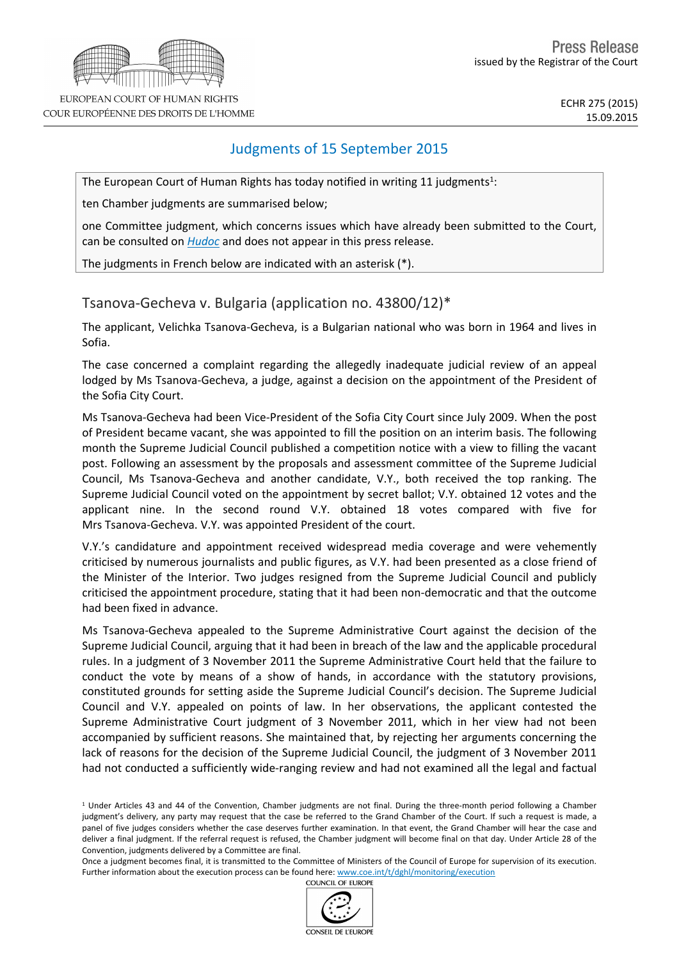

COUR EUROPÉENNE DES DROITS DE L'HOMME

ECHR 275 (2015) 15.09.2015

# Judgments of 15 September 2015

The European Court of Human Rights has today notified in writing 11 judgments<sup>1</sup>:

ten Chamber judgments are summarised below;

one Committee judgment, which concerns issues which have already been submitted to the Court, can be consulted on *[Hudoc](http://hudoc.echr.coe.int/sites/eng/Pages/search.aspx#%7B)* and does not appear in this press release.

The judgments in French below are indicated with an asterisk (\*).

## Tsanova-Gecheva v. Bulgaria (application no. 43800/12)\*

The applicant, Velichka Tsanova-Gecheva, is a Bulgarian national who was born in 1964 and lives in Sofia.

The case concerned a complaint regarding the allegedly inadequate judicial review of an appeal lodged by Ms Tsanova-Gecheva, a judge, against a decision on the appointment of the President of the Sofia City Court.

Ms Tsanova-Gecheva had been Vice-President of the Sofia City Court since July 2009. When the post of President became vacant, she was appointed to fill the position on an interim basis. The following month the Supreme Judicial Council published a competition notice with a view to filling the vacant post. Following an assessment by the proposals and assessment committee of the Supreme Judicial Council, Ms Tsanova-Gecheva and another candidate, V.Y., both received the top ranking. The Supreme Judicial Council voted on the appointment by secret ballot; V.Y. obtained 12 votes and the applicant nine. In the second round V.Y. obtained 18 votes compared with five for Mrs Tsanova-Gecheva. V.Y. was appointed President of the court.

V.Y.'s candidature and appointment received widespread media coverage and were vehemently criticised by numerous journalists and public figures, as V.Y. had been presented as a close friend of the Minister of the Interior. Two judges resigned from the Supreme Judicial Council and publicly criticised the appointment procedure, stating that it had been non-democratic and that the outcome had been fixed in advance.

Ms Tsanova-Gecheva appealed to the Supreme Administrative Court against the decision of the Supreme Judicial Council, arguing that it had been in breach of the law and the applicable procedural rules. In a judgment of 3 November 2011 the Supreme Administrative Court held that the failure to conduct the vote by means of a show of hands, in accordance with the statutory provisions, constituted grounds for setting aside the Supreme Judicial Council's decision. The Supreme Judicial Council and V.Y. appealed on points of law. In her observations, the applicant contested the Supreme Administrative Court judgment of 3 November 2011, which in her view had not been accompanied by sufficient reasons. She maintained that, by rejecting her arguments concerning the lack of reasons for the decision of the Supreme Judicial Council, the judgment of 3 November 2011 had not conducted a sufficiently wide-ranging review and had not examined all the legal and factual

COUNCIL OF EUROPE



<sup>&</sup>lt;sup>1</sup> Under Articles 43 and 44 of the Convention, Chamber judgments are not final. During the three-month period following a Chamber judgment's delivery, any party may request that the case be referred to the Grand Chamber of the Court. If such a request is made, a panel of five judges considers whether the case deserves further examination. In that event, the Grand Chamber will hear the case and deliver a final judgment. If the referral request is refused, the Chamber judgment will become final on that day. Under Article 28 of the Convention, judgments delivered by a Committee are final.

Once a judgment becomes final, it is transmitted to the Committee of Ministers of the Council of Europe for supervision of its execution. Further information about the execution process can be found here: [www.coe.int/t/dghl/monitoring/execution](http://www.coe.int/t/dghl/monitoring/execution#_blank)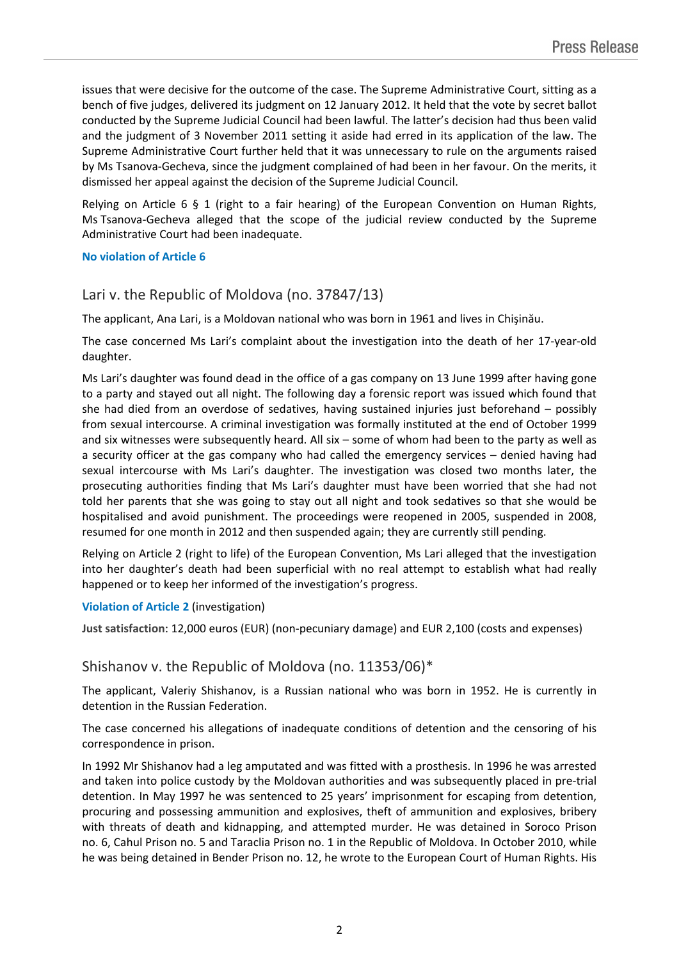issues that were decisive for the outcome of the case. The Supreme Administrative Court, sitting as a bench of five judges, delivered its judgment on 12 January 2012. It held that the vote by secret ballot conducted by the Supreme Judicial Council had been lawful. The latter's decision had thus been valid and the judgment of 3 November 2011 setting it aside had erred in its application of the law. The Supreme Administrative Court further held that it was unnecessary to rule on the arguments raised by Ms Tsanova-Gecheva, since the judgment complained of had been in her favour. On the merits, it dismissed her appeal against the decision of the Supreme Judicial Council.

Relying on Article 6 § 1 (right to a fair hearing) of the European Convention on Human Rights, Ms Tsanova-Gecheva alleged that the scope of the judicial review conducted by the Supreme Administrative Court had been inadequate.

#### **No violation of Article 6**

## Lari v. the Republic of Moldova (no. 37847/13)

The applicant, Ana Lari, is a Moldovan national who was born in 1961 and lives in Chişinău.

The case concerned Ms Lari's complaint about the investigation into the death of her 17-year-old daughter.

Ms Lari's daughter was found dead in the office of a gas company on 13 June 1999 after having gone to a party and stayed out all night. The following day a forensic report was issued which found that she had died from an overdose of sedatives, having sustained injuries just beforehand – possibly from sexual intercourse. A criminal investigation was formally instituted at the end of October 1999 and six witnesses were subsequently heard. All six – some of whom had been to the party as well as a security officer at the gas company who had called the emergency services – denied having had sexual intercourse with Ms Lari's daughter. The investigation was closed two months later, the prosecuting authorities finding that Ms Lari's daughter must have been worried that she had not told her parents that she was going to stay out all night and took sedatives so that she would be hospitalised and avoid punishment. The proceedings were reopened in 2005, suspended in 2008, resumed for one month in 2012 and then suspended again; they are currently still pending.

Relying on Article 2 (right to life) of the European Convention, Ms Lari alleged that the investigation into her daughter's death had been superficial with no real attempt to establish what had really happened or to keep her informed of the investigation's progress.

#### **Violation of Article 2** (investigation)

**Just satisfaction**: 12,000 euros (EUR) (non-pecuniary damage) and EUR 2,100 (costs and expenses)

## Shishanov v. the Republic of Moldova (no. 11353/06)\*

The applicant, Valeriy Shishanov, is a Russian national who was born in 1952. He is currently in detention in the Russian Federation.

The case concerned his allegations of inadequate conditions of detention and the censoring of his correspondence in prison.

In 1992 Mr Shishanov had a leg amputated and was fitted with a prosthesis. In 1996 he was arrested and taken into police custody by the Moldovan authorities and was subsequently placed in pre-trial detention. In May 1997 he was sentenced to 25 years' imprisonment for escaping from detention, procuring and possessing ammunition and explosives, theft of ammunition and explosives, bribery with threats of death and kidnapping, and attempted murder. He was detained in Soroco Prison no. 6, Cahul Prison no. 5 and Taraclia Prison no. 1 in the Republic of Moldova. In October 2010, while he was being detained in Bender Prison no. 12, he wrote to the European Court of Human Rights. His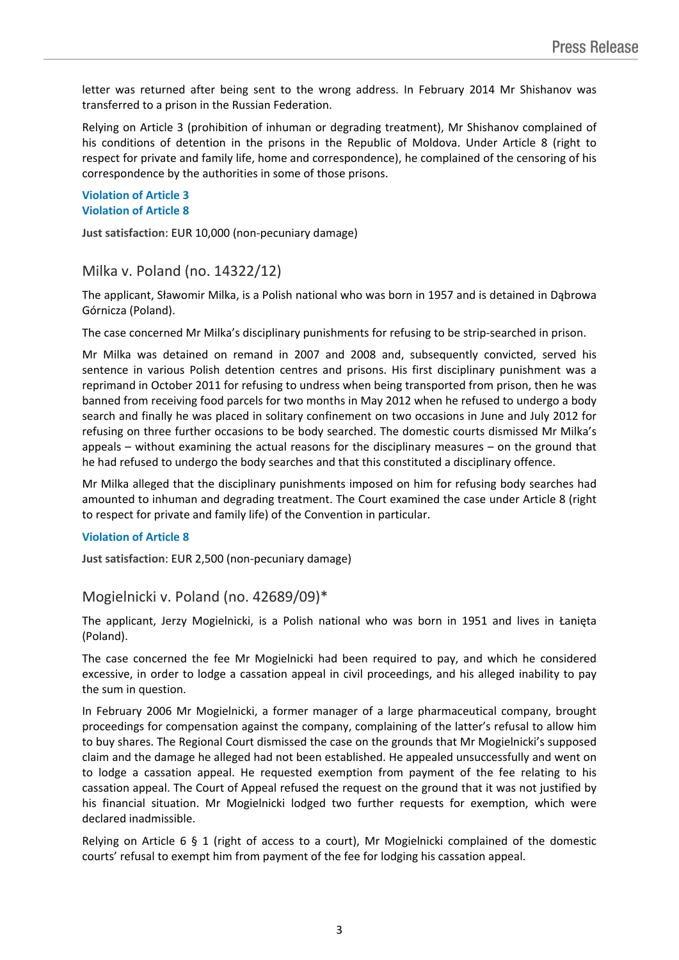letter was returned after being sent to the wrong address. In February 2014 Mr Shishanov was transferred to a prison in the Russian Federation.

Relying on Article 3 (prohibition of inhuman or degrading treatment), Mr Shishanov complained of his conditions of detention in the prisons in the Republic of Moldova. Under Article 8 (right to respect for private and family life, home and correspondence), he complained of the censoring of his correspondence by the authorities in some of those prisons.

#### **Violation of Article 3 Violation of Article 8**

**Just satisfaction**: EUR 10,000 (non-pecuniary damage)

## Milka v. Poland (no. 14322/12)

The applicant, Sławomir Milka, is a Polish national who was born in 1957 and is detained in Dąbrowa Górnicza (Poland).

The case concerned Mr Milka's disciplinary punishments for refusing to be strip-searched in prison.

Mr Milka was detained on remand in 2007 and 2008 and, subsequently convicted, served his sentence in various Polish detention centres and prisons. His first disciplinary punishment was a reprimand in October 2011 for refusing to undress when being transported from prison, then he was banned from receiving food parcels for two months in May 2012 when he refused to undergo a body search and finally he was placed in solitary confinement on two occasions in June and July 2012 for refusing on three further occasions to be body searched. The domestic courts dismissed Mr Milka's appeals – without examining the actual reasons for the disciplinary measures – on the ground that he had refused to undergo the body searches and that this constituted a disciplinary offence.

Mr Milka alleged that the disciplinary punishments imposed on him for refusing body searches had amounted to inhuman and degrading treatment. The Court examined the case under Article 8 (right to respect for private and family life) of the Convention in particular.

#### **Violation of Article 8**

**Just satisfaction**: EUR 2,500 (non-pecuniary damage)

### Mogielnicki v. Poland (no. 42689/09)\*

The applicant, Jerzy Mogielnicki, is a Polish national who was born in 1951 and lives in Łanięta (Poland).

The case concerned the fee Mr Mogielnicki had been required to pay, and which he considered excessive, in order to lodge a cassation appeal in civil proceedings, and his alleged inability to pay the sum in question.

In February 2006 Mr Mogielnicki, a former manager of a large pharmaceutical company, brought proceedings for compensation against the company, complaining of the latter's refusal to allow him to buy shares. The Regional Court dismissed the case on the grounds that Mr Mogielnicki's supposed claim and the damage he alleged had not been established. He appealed unsuccessfully and went on to lodge a cassation appeal. He requested exemption from payment of the fee relating to his cassation appeal. The Court of Appeal refused the request on the ground that it was not justified by his financial situation. Mr Mogielnicki lodged two further requests for exemption, which were declared inadmissible.

Relying on Article 6 § 1 (right of access to a court), Mr Mogielnicki complained of the domestic courts' refusal to exempt him from payment of the fee for lodging his cassation appeal.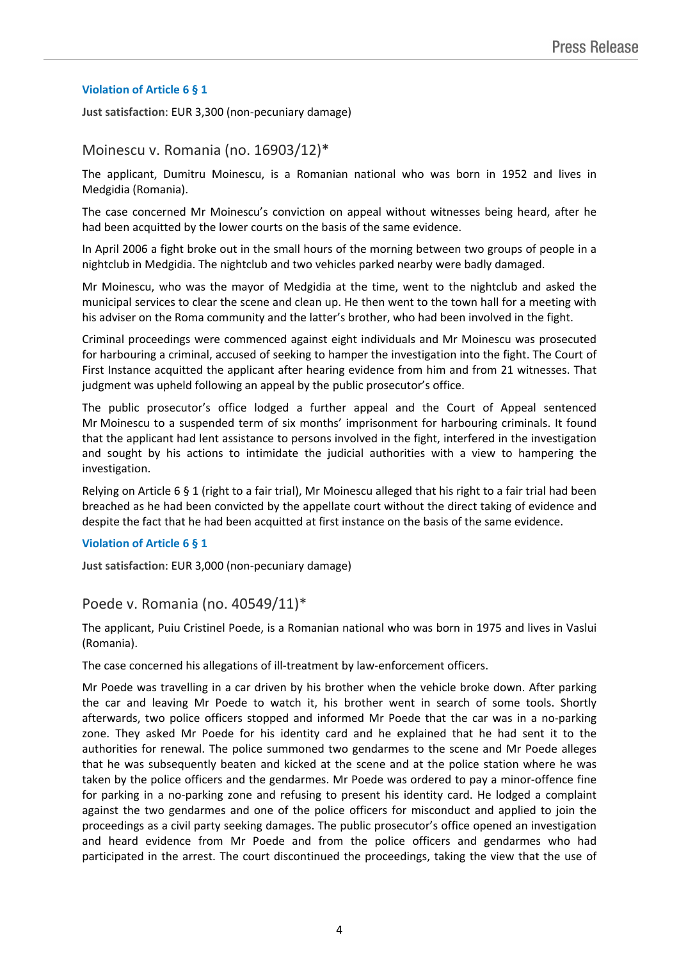#### **Violation of Article 6 § 1**

**Just satisfaction**: EUR 3,300 (non-pecuniary damage)

## Moinescu v. Romania (no. 16903/12)\*

The applicant, Dumitru Moinescu, is a Romanian national who was born in 1952 and lives in Medgidia (Romania).

The case concerned Mr Moinescu's conviction on appeal without witnesses being heard, after he had been acquitted by the lower courts on the basis of the same evidence.

In April 2006 a fight broke out in the small hours of the morning between two groups of people in a nightclub in Medgidia. The nightclub and two vehicles parked nearby were badly damaged.

Mr Moinescu, who was the mayor of Medgidia at the time, went to the nightclub and asked the municipal services to clear the scene and clean up. He then went to the town hall for a meeting with his adviser on the Roma community and the latter's brother, who had been involved in the fight.

Criminal proceedings were commenced against eight individuals and Mr Moinescu was prosecuted for harbouring a criminal, accused of seeking to hamper the investigation into the fight. The Court of First Instance acquitted the applicant after hearing evidence from him and from 21 witnesses. That judgment was upheld following an appeal by the public prosecutor's office.

The public prosecutor's office lodged a further appeal and the Court of Appeal sentenced Mr Moinescu to a suspended term of six months' imprisonment for harbouring criminals. It found that the applicant had lent assistance to persons involved in the fight, interfered in the investigation and sought by his actions to intimidate the judicial authorities with a view to hampering the investigation.

Relying on Article 6 § 1 (right to a fair trial), Mr Moinescu alleged that his right to a fair trial had been breached as he had been convicted by the appellate court without the direct taking of evidence and despite the fact that he had been acquitted at first instance on the basis of the same evidence.

#### **Violation of Article 6 § 1**

**Just satisfaction**: EUR 3,000 (non-pecuniary damage)

### Poede v. Romania (no. 40549/11)\*

The applicant, Puiu Cristinel Poede, is a Romanian national who was born in 1975 and lives in Vaslui (Romania).

The case concerned his allegations of ill-treatment by law-enforcement officers.

Mr Poede was travelling in a car driven by his brother when the vehicle broke down. After parking the car and leaving Mr Poede to watch it, his brother went in search of some tools. Shortly afterwards, two police officers stopped and informed Mr Poede that the car was in a no-parking zone. They asked Mr Poede for his identity card and he explained that he had sent it to the authorities for renewal. The police summoned two gendarmes to the scene and Mr Poede alleges that he was subsequently beaten and kicked at the scene and at the police station where he was taken by the police officers and the gendarmes. Mr Poede was ordered to pay a minor-offence fine for parking in a no-parking zone and refusing to present his identity card. He lodged a complaint against the two gendarmes and one of the police officers for misconduct and applied to join the proceedings as a civil party seeking damages. The public prosecutor's office opened an investigation and heard evidence from Mr Poede and from the police officers and gendarmes who had participated in the arrest. The court discontinued the proceedings, taking the view that the use of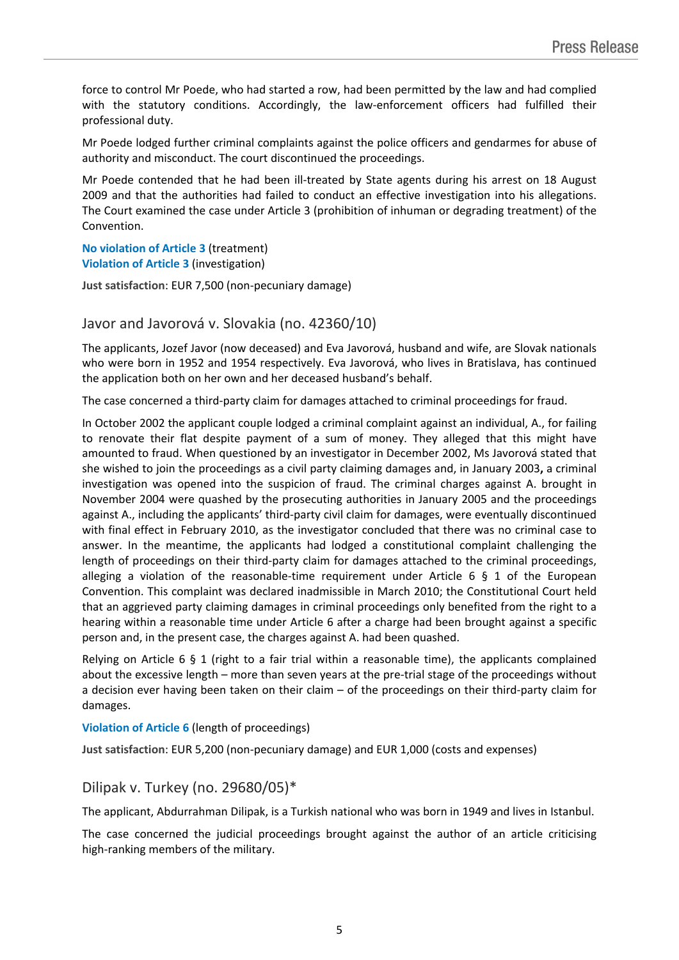force to control Mr Poede, who had started a row, had been permitted by the law and had complied with the statutory conditions. Accordingly, the law-enforcement officers had fulfilled their professional duty.

Mr Poede lodged further criminal complaints against the police officers and gendarmes for abuse of authority and misconduct. The court discontinued the proceedings.

Mr Poede contended that he had been ill-treated by State agents during his arrest on 18 August 2009 and that the authorities had failed to conduct an effective investigation into his allegations. The Court examined the case under Article 3 (prohibition of inhuman or degrading treatment) of the Convention.

**No violation of Article 3** (treatment) **Violation of Article 3** (investigation)

**Just satisfaction**: EUR 7,500 (non-pecuniary damage)

### Javor and Javorová v. Slovakia (no. 42360/10)

The applicants, Jozef Javor (now deceased) and Eva Javorová, husband and wife, are Slovak nationals who were born in 1952 and 1954 respectively. Eva Javorová, who lives in Bratislava, has continued the application both on her own and her deceased husband's behalf.

The case concerned a third-party claim for damages attached to criminal proceedings for fraud.

In October 2002 the applicant couple lodged a criminal complaint against an individual, A., for failing to renovate their flat despite payment of a sum of money. They alleged that this might have amounted to fraud. When questioned by an investigator in December 2002, Ms Javorová stated that she wished to join the proceedings as a civil party claiming damages and, in January 2003**,** a criminal investigation was opened into the suspicion of fraud. The criminal charges against A. brought in November 2004 were quashed by the prosecuting authorities in January 2005 and the proceedings against A., including the applicants' third-party civil claim for damages, were eventually discontinued with final effect in February 2010, as the investigator concluded that there was no criminal case to answer. In the meantime, the applicants had lodged a constitutional complaint challenging the length of proceedings on their third-party claim for damages attached to the criminal proceedings, alleging a violation of the reasonable-time requirement under Article 6 § 1 of the European Convention. This complaint was declared inadmissible in March 2010; the Constitutional Court held that an aggrieved party claiming damages in criminal proceedings only benefited from the right to a hearing within a reasonable time under Article 6 after a charge had been brought against a specific person and, in the present case, the charges against A. had been quashed.

Relying on Article 6 § 1 (right to a fair trial within a reasonable time), the applicants complained about the excessive length – more than seven years at the pre-trial stage of the proceedings without a decision ever having been taken on their claim – of the proceedings on their third-party claim for damages.

#### **Violation of Article 6** (length of proceedings)

**Just satisfaction**: EUR 5,200 (non-pecuniary damage) and EUR 1,000 (costs and expenses)

### Dilipak v. Turkey (no. 29680/05)\*

The applicant, Abdurrahman Dilipak, is a Turkish national who was born in 1949 and lives in Istanbul.

The case concerned the judicial proceedings brought against the author of an article criticising high-ranking members of the military.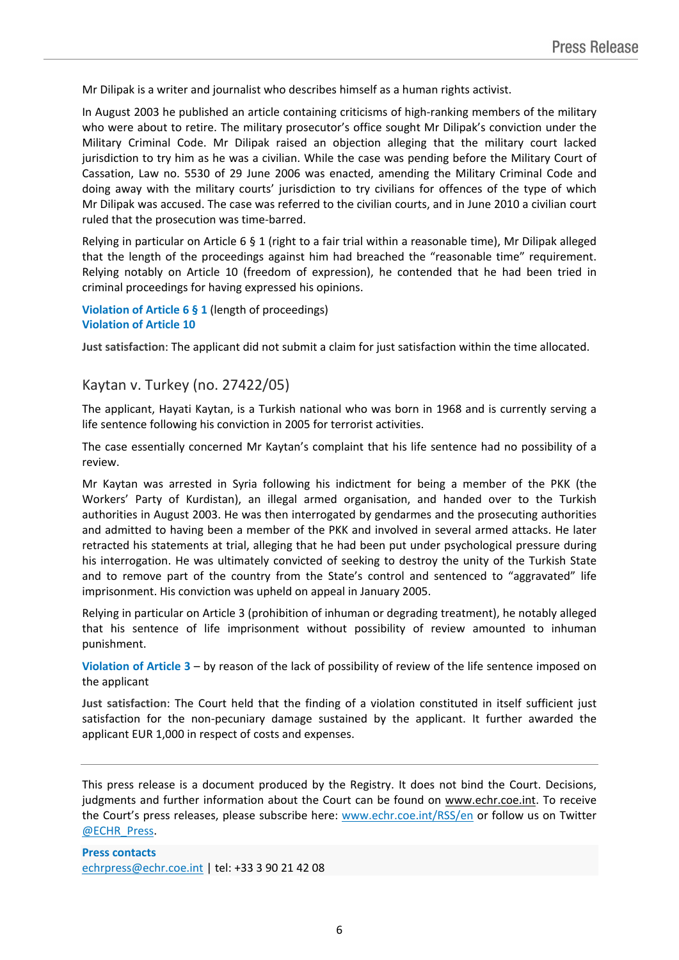Mr Dilipak is a writer and journalist who describes himself as a human rights activist.

In August 2003 he published an article containing criticisms of high-ranking members of the military who were about to retire. The military prosecutor's office sought Mr Dilipak's conviction under the Military Criminal Code. Mr Dilipak raised an objection alleging that the military court lacked jurisdiction to try him as he was a civilian. While the case was pending before the Military Court of Cassation, Law no. 5530 of 29 June 2006 was enacted, amending the Military Criminal Code and doing away with the military courts' jurisdiction to try civilians for offences of the type of which Mr Dilipak was accused. The case was referred to the civilian courts, and in June 2010 a civilian court ruled that the prosecution was time-barred.

Relying in particular on Article 6 § 1 (right to a fair trial within a reasonable time), Mr Dilipak alleged that the length of the proceedings against him had breached the "reasonable time" requirement. Relying notably on Article 10 (freedom of expression), he contended that he had been tried in criminal proceedings for having expressed his opinions.

**Violation of Article 6 § 1** (length of proceedings) **Violation of Article 10**

**Just satisfaction**: The applicant did not submit a claim for just satisfaction within the time allocated.

## Kaytan v. Turkey (no. 27422/05)

The applicant, Hayati Kaytan, is a Turkish national who was born in 1968 and is currently serving a life sentence following his conviction in 2005 for terrorist activities.

The case essentially concerned Mr Kaytan's complaint that his life sentence had no possibility of a review.

Mr Kaytan was arrested in Syria following his indictment for being a member of the PKK (the Workers' Party of Kurdistan), an illegal armed organisation, and handed over to the Turkish authorities in August 2003. He was then interrogated by gendarmes and the prosecuting authorities and admitted to having been a member of the PKK and involved in several armed attacks. He later retracted his statements at trial, alleging that he had been put under psychological pressure during his interrogation. He was ultimately convicted of seeking to destroy the unity of the Turkish State and to remove part of the country from the State's control and sentenced to "aggravated" life imprisonment. His conviction was upheld on appeal in January 2005.

Relying in particular on Article 3 (prohibition of inhuman or degrading treatment), he notably alleged that his sentence of life imprisonment without possibility of review amounted to inhuman punishment.

**Violation of Article 3** – by reason of the lack of possibility of review of the life sentence imposed on the applicant

**Just satisfaction**: The Court held that the finding of a violation constituted in itself sufficient just satisfaction for the non-pecuniary damage sustained by the applicant. It further awarded the applicant EUR 1,000 in respect of costs and expenses.

This press release is a document produced by the Registry. It does not bind the Court. Decisions, judgments and further information about the Court can be found on www.echr.coe.int. To receive the Court's press releases, please subscribe here: [www.echr.coe.int/RSS/en](http://www.echr.coe.int/RSS/en) or follow us on Twitter [@ECHR\\_Press.](https://twitter.com/ECHR_Press)

**Press contacts** [echrpress@echr.coe.int](mailto:Echrpress@echr.coe.int) | tel: +33 3 90 21 42 08